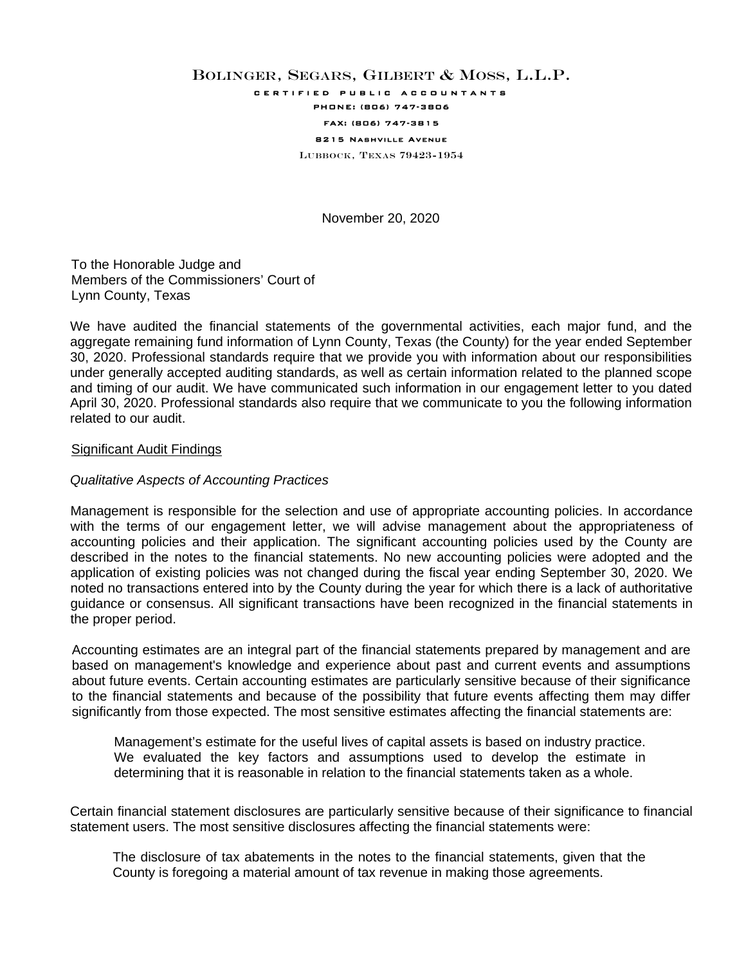## BOLINGER, SEGARS, GILBERT & MOSS, L.L.P.

certified public accountants

# PHONE: (806) 747-3806

#### FAX: (806) 747-3815 8215 Nashville Avenue

LUBBOCK, TEXAS 79423-1954

November 20, 2020

To the Honorable Judge and Members of the Commissioners' Court of Lynn County, Texas

We have audited the financial statements of the governmental activities, each major fund, and the aggregate remaining fund information of Lynn County, Texas (the County) for the year ended September 30, 2020. Professional standards require that we provide you with information about our responsibilities under generally accepted auditing standards, as well as certain information related to the planned scope and timing of our audit. We have communicated such information in our engagement letter to you dated April 30, 2020. Professional standards also require that we communicate to you the following information related to our audit.

#### Significant Audit Findings

#### *Qualitative Aspects of Accounting Practices*

Management is responsible for the selection and use of appropriate accounting policies. In accordance with the terms of our engagement letter, we will advise management about the appropriateness of accounting policies and their application. The significant accounting policies used by the County are described in the notes to the financial statements. No new accounting policies were adopted and the application of existing policies was not changed during the fiscal year ending September 30, 2020. We noted no transactions entered into by the County during the year for which there is a lack of authoritative guidance or consensus. All significant transactions have been recognized in the financial statements in the proper period.

Accounting estimates are an integral part of the financial statements prepared by management and are based on management's knowledge and experience about past and current events and assumptions about future events. Certain accounting estimates are particularly sensitive because of their significance to the financial statements and because of the possibility that future events affecting them may differ significantly from those expected. The most sensitive estimates affecting the financial statements are:

Management's estimate for the useful lives of capital assets is based on industry practice. We evaluated the key factors and assumptions used to develop the estimate in determining that it is reasonable in relation to the financial statements taken as a whole.

Certain financial statement disclosures are particularly sensitive because of their significance to financial statement users. The most sensitive disclosures affecting the financial statements were:

The disclosure of tax abatements in the notes to the financial statements, given that the County is foregoing a material amount of tax revenue in making those agreements.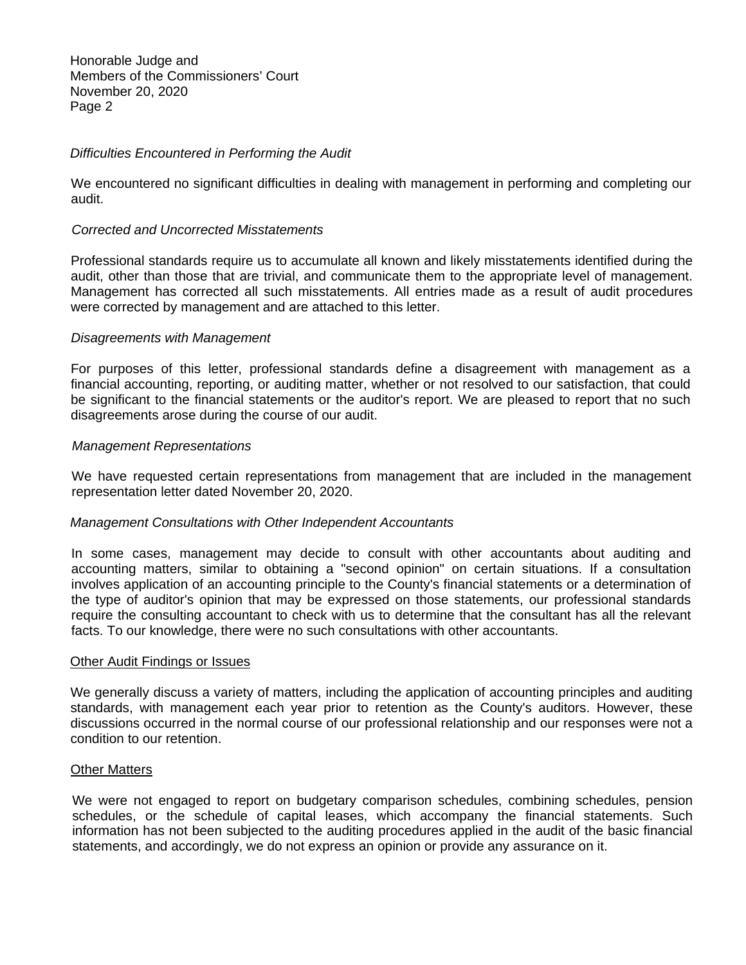Honorable Judge and Members of the Commissioners' Court November 20, 2020 Page 2

#### *Difficulties Encountered in Performing the Audit*

We encountered no significant difficulties in dealing with management in performing and completing our audit.

#### *Corrected and Uncorrected Misstatements*

Professional standards require us to accumulate all known and likely misstatements identified during the audit, other than those that are trivial, and communicate them to the appropriate level of management. Management has corrected all such misstatements. All entries made as a result of audit procedures were corrected by management and are attached to this letter.

### *Disagreements with Management*

For purposes of this letter, professional standards define a disagreement with management as a financial accounting, reporting, or auditing matter, whether or not resolved to our satisfaction, that could be significant to the financial statements or the auditor's report. We are pleased to report that no such disagreements arose during the course of our audit.

#### *Management Representations*

We have requested certain representations from management that are included in the management representation letter dated November 20, 2020.

#### *Management Consultations with Other Independent Accountants*

In some cases, management may decide to consult with other accountants about auditing and accounting matters, similar to obtaining a "second opinion" on certain situations. If a consultation involves application of an accounting principle to the County's financial statements or a determination of the type of auditor's opinion that may be expressed on those statements, our professional standards require the consulting accountant to check with us to determine that the consultant has all the relevant facts. To our knowledge, there were no such consultations with other accountants.

#### Other Audit Findings or Issues

We generally discuss a variety of matters, including the application of accounting principles and auditing standards, with management each year prior to retention as the County's auditors. However, these discussions occurred in the normal course of our professional relationship and our responses were not a condition to our retention.

#### Other Matters

We were not engaged to report on budgetary comparison schedules, combining schedules, pension schedules, or the schedule of capital leases, which accompany the financial statements. Such information has not been subjected to the auditing procedures applied in the audit of the basic financial statements, and accordingly, we do not express an opinion or provide any assurance on it.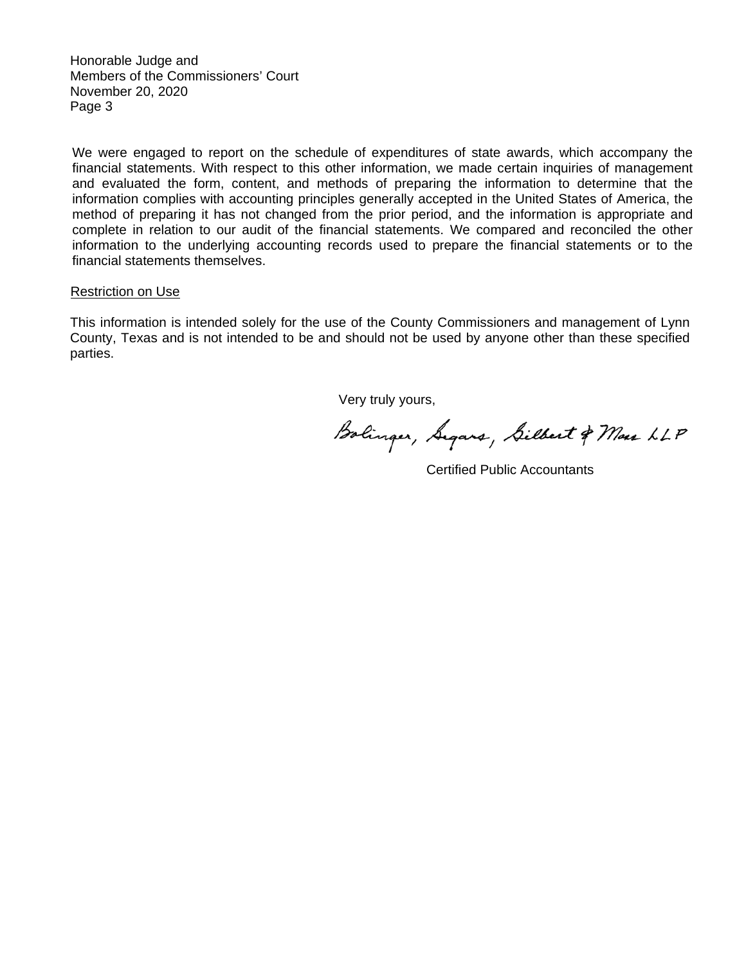Honorable Judge and Members of the Commissioners' Court November 20, 2020 Page 3

We were engaged to report on the schedule of expenditures of state awards, which accompany the financial statements. With respect to this other information, we made certain inquiries of management and evaluated the form, content, and methods of preparing the information to determine that the information complies with accounting principles generally accepted in the United States of America, the method of preparing it has not changed from the prior period, and the information is appropriate and complete in relation to our audit of the financial statements. We compared and reconciled the other information to the underlying accounting records used to prepare the financial statements or to the financial statements themselves.

#### Restriction on Use

This information is intended solely for the use of the County Commissioners and management of Lynn County, Texas and is not intended to be and should not be used by anyone other than these specified parties.

Very truly yours,

Bolinger, Segars, Silbert & Mas LLP

Certified Public Accountants